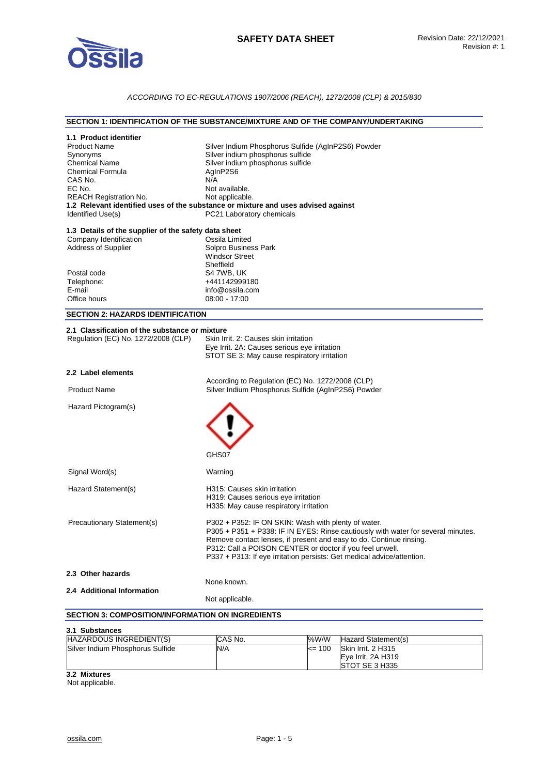

# *ACCORDING TO EC-REGULATIONS 1907/2006 (REACH), 1272/2008 (CLP) & 2015/830*

#### **SECTION 1: IDENTIFICATION OF THE SUBSTANCE/MIXTURE AND OF THE COMPANY/UNDERTAKING**

| 1.1 Product identifier<br><b>Product Name</b><br>Synonyms<br><b>Chemical Name</b><br><b>Chemical Formula</b><br>CAS No.<br>EC No.<br><b>REACH Registration No.</b><br>Identified Use(s) | Silver Indium Phosphorus Sulfide (AgInP2S6) Powder<br>Silver indium phosphorus sulfide<br>Silver indium phosphorus sulfide<br>AgInP2S6<br>N/A<br>Not available.<br>Not applicable.<br>1.2 Relevant identified uses of the substance or mixture and uses advised against<br>PC21 Laboratory chemicals                                                 |
|-----------------------------------------------------------------------------------------------------------------------------------------------------------------------------------------|------------------------------------------------------------------------------------------------------------------------------------------------------------------------------------------------------------------------------------------------------------------------------------------------------------------------------------------------------|
| 1.3 Details of the supplier of the safety data sheet<br>Company Identification<br><b>Address of Supplier</b>                                                                            | Ossila Limited<br>Solpro Business Park<br><b>Windsor Street</b><br>Sheffield                                                                                                                                                                                                                                                                         |
| Postal code<br>Telephone:<br>E-mail<br>Office hours                                                                                                                                     | S4 7WB, UK<br>+441142999180<br>info@ossila.com<br>$08:00 - 17:00$                                                                                                                                                                                                                                                                                    |
| <b>SECTION 2: HAZARDS IDENTIFICATION</b>                                                                                                                                                |                                                                                                                                                                                                                                                                                                                                                      |
| 2.1 Classification of the substance or mixture<br>Regulation (EC) No. 1272/2008 (CLP)                                                                                                   | Skin Irrit. 2: Causes skin irritation<br>Eye Irrit. 2A: Causes serious eye irritation<br>STOT SE 3: May cause respiratory irritation                                                                                                                                                                                                                 |
| 2.2 Label elements                                                                                                                                                                      |                                                                                                                                                                                                                                                                                                                                                      |
| <b>Product Name</b>                                                                                                                                                                     | According to Regulation (EC) No. 1272/2008 (CLP)<br>Silver Indium Phosphorus Sulfide (AgInP2S6) Powder                                                                                                                                                                                                                                               |
| Hazard Pictogram(s)                                                                                                                                                                     |                                                                                                                                                                                                                                                                                                                                                      |
|                                                                                                                                                                                         | GHS07                                                                                                                                                                                                                                                                                                                                                |
| Signal Word(s)                                                                                                                                                                          | Warning                                                                                                                                                                                                                                                                                                                                              |
| Hazard Statement(s)                                                                                                                                                                     | H315: Causes skin irritation<br>H319: Causes serious eye irritation<br>H335: May cause respiratory irritation                                                                                                                                                                                                                                        |
| Precautionary Statement(s)                                                                                                                                                              | P302 + P352: IF ON SKIN: Wash with plenty of water.<br>P305 + P351 + P338: IF IN EYES: Rinse cautiously with water for several minutes.<br>Remove contact lenses, if present and easy to do. Continue rinsing.<br>P312: Call a POISON CENTER or doctor if you feel unwell.<br>P337 + P313: If eye irritation persists: Get medical advice/attention. |
| 2.3 Other hazards                                                                                                                                                                       |                                                                                                                                                                                                                                                                                                                                                      |
| 2.4 Additional Information                                                                                                                                                              | None known.                                                                                                                                                                                                                                                                                                                                          |
|                                                                                                                                                                                         | Not applicable.                                                                                                                                                                                                                                                                                                                                      |
| <b>SECTION 3: COMPOSITION/INFORMATION ON INGREDIENTS</b>                                                                                                                                |                                                                                                                                                                                                                                                                                                                                                      |
| 3.1 Substances                                                                                                                                                                          |                                                                                                                                                                                                                                                                                                                                                      |

| HAZARDOUS INGREDIENT(S)          | <b>CAS No.</b> | %W/W      | Hazard Statement(s)                          |
|----------------------------------|----------------|-----------|----------------------------------------------|
| Silver Indium Phosphorus Sulfide | N/A            | 100<br><= | Skin Irrit. 2 H315                           |
|                                  |                |           | Eve Irrit, 2A H319<br><b>ISTOT SE 3 H335</b> |
|                                  |                |           |                                              |

**3.2 Mixtures** 

Not applicable.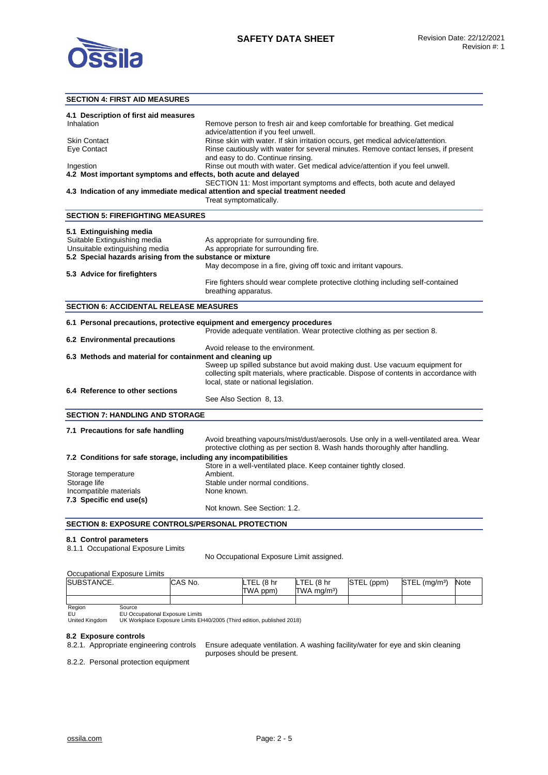

# **SECTION 4: FIRST AID MEASURES**

| 4.1 Description of first aid measures                           |                                                                                    |
|-----------------------------------------------------------------|------------------------------------------------------------------------------------|
| Inhalation                                                      | Remove person to fresh air and keep comfortable for breathing. Get medical         |
|                                                                 | advice/attention if you feel unwell.                                               |
| <b>Skin Contact</b>                                             | Rinse skin with water. If skin irritation occurs, get medical advice/attention.    |
| Eye Contact                                                     | Rinse cautiously with water for several minutes. Remove contact lenses, if present |
|                                                                 | and easy to do. Continue rinsing.                                                  |
| Ingestion                                                       | Rinse out mouth with water. Get medical advice/attention if you feel unwell.       |
| 4.2 Most important symptoms and effects, both acute and delayed |                                                                                    |
|                                                                 | SECTION 11: Most important symptoms and effects, both acute and delayed            |
|                                                                 | 4.3 Indication of any immediate medical attention and special treatment needed     |
|                                                                 | Treat symptomatically.                                                             |

#### **5.1 Extinguishing media**

**SECTION 5: FIREFIGHTING MEASURES** 

| 5.1 Extinguishing media                                   |                                                                                                         |
|-----------------------------------------------------------|---------------------------------------------------------------------------------------------------------|
| Suitable Extinguishing media                              | As appropriate for surrounding fire.                                                                    |
| Unsuitable extinguishing media                            | As appropriate for surrounding fire.                                                                    |
| 5.2 Special hazards arising from the substance or mixture |                                                                                                         |
|                                                           | May decompose in a fire, giving off toxic and irritant vapours.                                         |
| 5.3 Advice for firefighters                               |                                                                                                         |
|                                                           | Fire fighters should wear complete protective clothing including self-contained<br>breathing apparatus. |

#### **SECTION 6: ACCIDENTAL RELEASE MEASURES**

| 6.1 Personal precautions, protective equipment and emergency procedures |                                                                                                                                                                                                              |  |  |
|-------------------------------------------------------------------------|--------------------------------------------------------------------------------------------------------------------------------------------------------------------------------------------------------------|--|--|
|                                                                         | Provide adequate ventilation. Wear protective clothing as per section 8.                                                                                                                                     |  |  |
| 6.2 Environmental precautions                                           |                                                                                                                                                                                                              |  |  |
|                                                                         | Avoid release to the environment.                                                                                                                                                                            |  |  |
| 6.3 Methods and material for containment and cleaning up                |                                                                                                                                                                                                              |  |  |
|                                                                         | Sweep up spilled substance but avoid making dust. Use vacuum equipment for<br>collecting spilt materials, where practicable. Dispose of contents in accordance with<br>local, state or national legislation. |  |  |
| 6.4 Reference to other sections                                         |                                                                                                                                                                                                              |  |  |
|                                                                         | See Also Section 8, 13.                                                                                                                                                                                      |  |  |
| <b>SECTION 7: HANDLING AND STORAGE</b>                                  |                                                                                                                                                                                                              |  |  |

#### **7.1 Precautions for safe handling**  Avoid breathing vapours/mist/dust/aerosols. Use only in a well-ventilated area. Wear protective clothing as per section 8. Wash hands thoroughly after handling. **7.2 Conditions for safe storage, including any incompatibilities**  Store in a well-ventilated place. Keep container tightly closed. Storage temperature and ambient.<br>Storage life and the Stable units of the Stable units of the Stable units of the Stable units of the Stable units of the Stable units of the Stable units of the Stable units of the Stable u Stable under normal conditions.<br>None known. Incompatible materials **7.3 Specific end use(s)**  Not known. See Section: 1.2.

#### **SECTION 8: EXPOSURE CONTROLS/PERSONAL PROTECTION**

#### **8.1 Control parameters**

8.1.1 Occupational Exposure Limits

No Occupational Exposure Limit assigned.

#### Occupational Exposure Limits

| SUBSTANCE. |        | CAS No. | LTEL<br>. (8 hr<br><b>TWA</b><br>ppm, | (8 <sub>hr</sub> )<br><b>LTEL</b><br>$TWA$ ma/m <sup>3</sup> ) | STEL<br>(ppm) | $STEL$ (mg/m <sup>3</sup> ) | Note |
|------------|--------|---------|---------------------------------------|----------------------------------------------------------------|---------------|-----------------------------|------|
|            |        |         |                                       |                                                                |               |                             |      |
| Region     | Source |         |                                       |                                                                |               |                             |      |

# EU United Kingdom

EU Occupational Exposure Limits UK Workplace Exposure Limits EH40/2005 (Third edition, published 2018)

# **8.2 Exposure controls**

Ensure adequate ventilation. A washing facility/water for eye and skin cleaning purposes should be present.

8.2.2. Personal protection equipment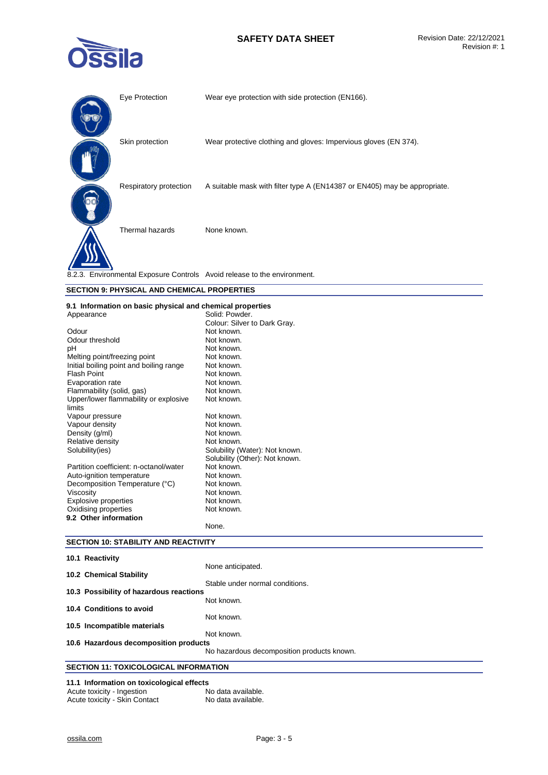# **SAFETY DATA SHEET** Revision Date: 22/12/2021



| Eye Protection         | Wear eye protection with side protection (EN166).                         |
|------------------------|---------------------------------------------------------------------------|
| Skin protection        | Wear protective clothing and gloves: Impervious gloves (EN 374).          |
| Respiratory protection | A suitable mask with filter type A (EN14387 or EN405) may be appropriate. |
| Thermal hazards        | None known.                                                               |
|                        | 8.2.3. Environmental Exposure Controls Avoid release to the environment.  |

#### **SECTION 9: PHYSICAL AND CHEMICAL PROPERTIES**

#### **9.1 Information on basic physical and chemical properties**

| Appearance                              | Solid: Powder.                 |
|-----------------------------------------|--------------------------------|
|                                         | Colour: Silver to Dark Gray.   |
| Odour                                   | Not known.                     |
| Odour threshold                         | Not known.                     |
| рH                                      | Not known.                     |
| Melting point/freezing point            | Not known.                     |
| Initial boiling point and boiling range | Not known.                     |
| <b>Flash Point</b>                      | Not known.                     |
| Evaporation rate                        | Not known.                     |
| Flammability (solid, gas)               | Not known.                     |
| Upper/lower flammability or explosive   | Not known.                     |
| limits                                  |                                |
| Vapour pressure                         | Not known.                     |
| Vapour density                          | Not known.                     |
| Density (g/ml)                          | Not known.                     |
| Relative density                        | Not known.                     |
| Solubility(ies)                         | Solubility (Water): Not known. |
|                                         | Solubility (Other): Not known. |
| Partition coefficient: n-octanol/water  | Not known.                     |
| Auto-ignition temperature               | Not known.                     |
| Decomposition Temperature (°C)          | Not known.                     |
| Viscosity                               | Not known.                     |
| <b>Explosive properties</b>             | Not known.                     |
| Oxidising properties                    | Not known.                     |
| 9.2 Other information                   |                                |
|                                         | None.                          |

# **SECTION 10: STABILITY AND REACTIVITY**

| 10.1 Reactivity                              |                                            |
|----------------------------------------------|--------------------------------------------|
|                                              | None anticipated.                          |
| 10.2 Chemical Stability                      |                                            |
|                                              | Stable under normal conditions.            |
| 10.3 Possibility of hazardous reactions      |                                            |
|                                              | Not known.                                 |
| 10.4 Conditions to avoid                     |                                            |
|                                              | Not known.                                 |
| 10.5 Incompatible materials                  |                                            |
|                                              | Not known.                                 |
| 10.6 Hazardous decomposition products        |                                            |
|                                              | No hazardous decomposition products known. |
| <b>SECTION 11: TOXICOLOGICAL INFORMATION</b> |                                            |

#### **11.1 Information on toxicological effects**  Acute toxicity - Ingestion

| Acute toxicity - Skin Contact | No data available. |
|-------------------------------|--------------------|
|                               |                    |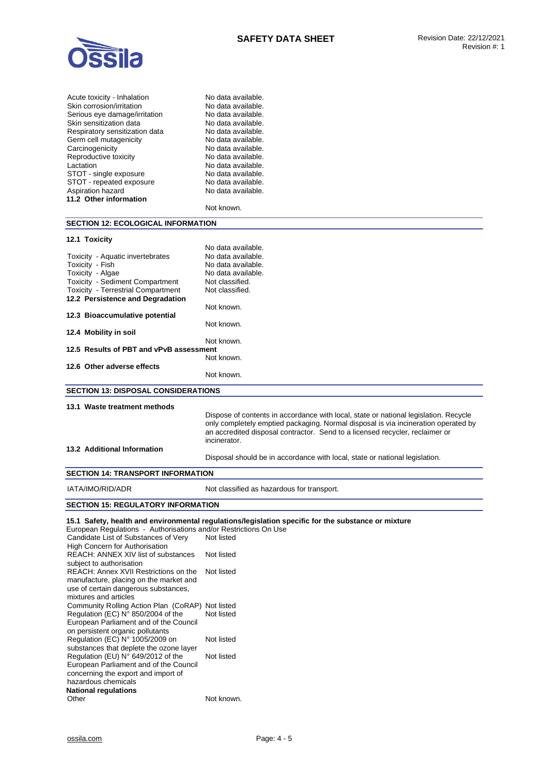

| Acute toxicity - Inhalation    | No data available. |
|--------------------------------|--------------------|
| Skin corrosion/irritation      | No data available. |
| Serious eye damage/irritation  | No data available. |
| Skin sensitization data        | No data available. |
| Respiratory sensitization data | No data available. |
| Germ cell mutagenicity         | No data available. |
| Carcinogenicity                | No data available. |
| Reproductive toxicity          | No data available. |
| Lactation                      | No data available. |
| STOT - single exposure         | No data available. |
| STOT - repeated exposure       | No data available. |
| Aspiration hazard              | No data available. |
| 11.2 Other information         |                    |
|                                | Not known.         |
|                                |                    |

# **SECTION 12: ECOLOGICAL INFORMATION**

#### **12.1 Toxicity**

|                                            | No data available. |  |
|--------------------------------------------|--------------------|--|
| Toxicity - Aquatic invertebrates           | No data available. |  |
| Toxicity - Fish                            | No data available. |  |
| Toxicity - Algae                           | No data available. |  |
| <b>Toxicity - Sediment Compartment</b>     | Not classified.    |  |
| <b>Toxicity - Terrestrial Compartment</b>  | Not classified.    |  |
| 12.2 Persistence and Degradation           |                    |  |
|                                            | Not known.         |  |
| 12.3 Bioaccumulative potential             |                    |  |
|                                            | Not known.         |  |
| 12.4 Mobility in soil                      |                    |  |
|                                            | Not known.         |  |
| 12.5 Results of PBT and vPvB assessment    |                    |  |
|                                            | Not known.         |  |
| 12.6 Other adverse effects                 |                    |  |
|                                            | Not known.         |  |
| <b>SECTION 13: DISPOSAL CONSIDERATIONS</b> |                    |  |
|                                            |                    |  |

#### **13.1 Waste treatment methods**

Dispose of contents in accordance with local, state or national legislation. Recycle only completely emptied packaging. Normal disposal is via incineration operated by an accredited disposal contractor. Send to a licensed recycler, reclaimer or incinerator.

#### **13.2 Additional Information**

Disposal should be in accordance with local, state or national legislation.

#### **SECTION 14: TRANSPORT INFORMATION**

IATA/IMO/RID/ADR Not classified as hazardous for transport.

# **SECTION 15: REGULATORY INFORMATION**

**15.1 Safety, health and environmental regulations/legislation specific for the substance or mixture** 

| European Regulations - Authorisations and/or Restrictions On Use |            |
|------------------------------------------------------------------|------------|
| Candidate List of Substances of Very                             | Not listed |
| <b>High Concern for Authorisation</b>                            |            |
| <b>REACH: ANNEX XIV list of substances</b>                       | Not listed |
| subject to authorisation                                         |            |
| REACH: Annex XVII Restrictions on the                            | Not listed |
| manufacture, placing on the market and                           |            |
| use of certain dangerous substances,                             |            |
| mixtures and articles                                            |            |
| Community Rolling Action Plan (CoRAP) Not listed                 |            |
| Regulation (EC) N° 850/2004 of the                               | Not listed |
| European Parliament and of the Council                           |            |
| on persistent organic pollutants                                 |            |
| Regulation (EC) N° 1005/2009 on                                  | Not listed |
| substances that deplete the ozone layer                          |            |
| Regulation (EU) $N^{\circ}$ 649/2012 of the                      | Not listed |
| European Parliament and of the Council                           |            |
| concerning the export and import of                              |            |
| hazardous chemicals                                              |            |
| National regulations                                             |            |
| Other                                                            | Not known. |
|                                                                  |            |